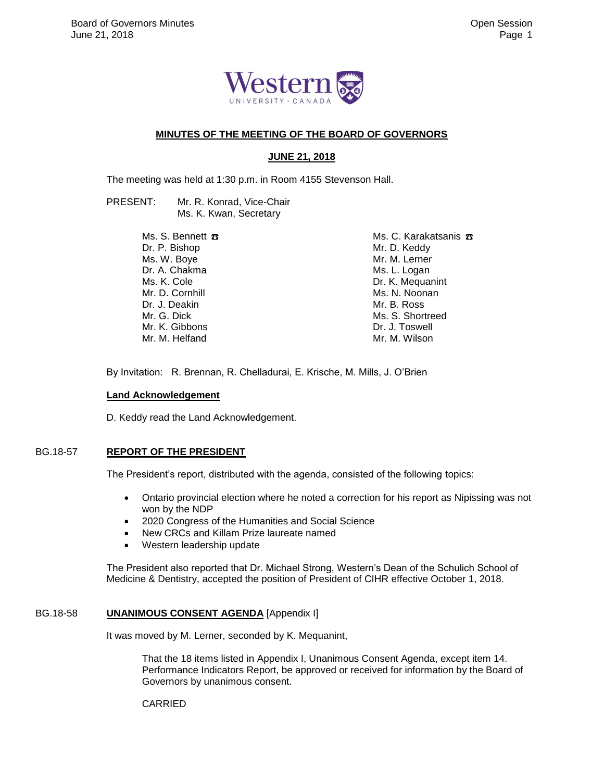

### **MINUTES OF THE MEETING OF THE BOARD OF GOVERNORS**

# **JUNE 21, 2018**

The meeting was held at 1:30 p.m. in Room 4155 Stevenson Hall.

PRESENT: Mr. R. Konrad, Vice-Chair Ms. K. Kwan, Secretary

> Ms. S. Bennett  $\pi$ Dr. P. Bishop Ms. W. Boye Dr. A. Chakma Ms. K. Cole Mr. D. Cornhill Dr. J. Deakin Mr. G. Dick Mr. K. Gibbons Mr. M. Helfand

Ms. C. Karakatsanis <del>B</del> Mr. D. Keddy Mr. M. Lerner Ms. L. Logan Dr. K. Mequanint Ms. N. Noonan Mr. B. Ross Ms. S. Shortreed Dr. J. Toswell Mr. M. Wilson

By Invitation: R. Brennan, R. Chelladurai, E. Krische, M. Mills, J. O'Brien

#### **Land Acknowledgement**

D. Keddy read the Land Acknowledgement.

### BG.18-57 **REPORT OF THE PRESIDENT**

The President's report, distributed with the agenda, consisted of the following topics:

- Ontario provincial election where he noted a correction for his report as Nipissing was not won by the NDP
- 2020 Congress of the Humanities and Social Science
- New CRCs and Killam Prize laureate named
- Western leadership update

The President also reported that Dr. Michael Strong, Western's Dean of the Schulich School of Medicine & Dentistry, accepted the position of President of CIHR effective October 1, 2018.

### BG.18-58 **UNANIMOUS CONSENT AGENDA** [Appendix I]

It was moved by M. Lerner, seconded by K. Mequanint,

That the 18 items listed in Appendix I, Unanimous Consent Agenda, except item 14. Performance Indicators Report, be approved or received for information by the Board of Governors by unanimous consent.

CARRIED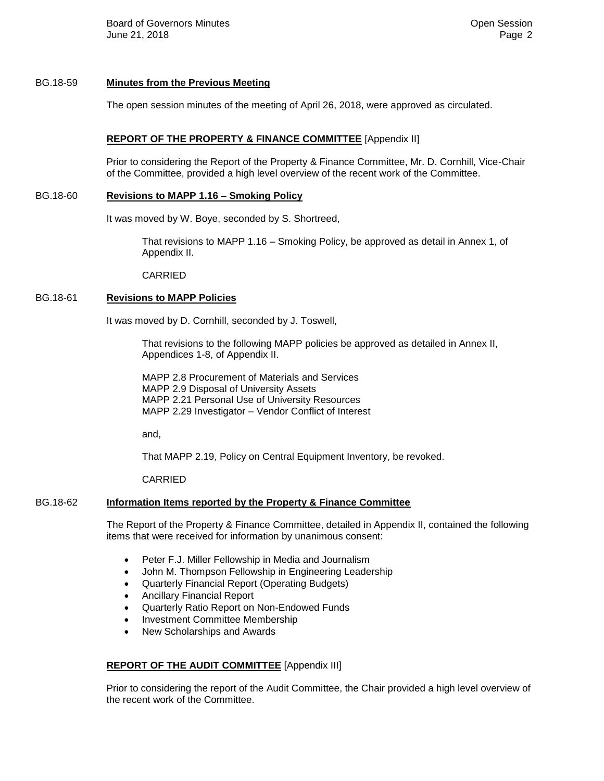Board of Governors Minutes **Community** Community Community Community Community Community Community Community Community Community Community Community Community Community Community Community Community Community Community Com June 21, 2018 Page 2

#### BG.18-59 **Minutes from the Previous Meeting**

The open session minutes of the meeting of April 26, 2018, were approved as circulated.

#### **REPORT OF THE PROPERTY & FINANCE COMMITTEE** [Appendix II]

Prior to considering the Report of the Property & Finance Committee, Mr. D. Cornhill, Vice-Chair of the Committee, provided a high level overview of the recent work of the Committee.

#### BG.18-60 **Revisions to MAPP 1.16 – Smoking Policy**

It was moved by W. Boye, seconded by S. Shortreed,

That revisions to MAPP 1.16 – Smoking Policy, be approved as detail in Annex 1, of Appendix II.

CARRIED

# BG.18-61 **Revisions to MAPP Policies**

It was moved by D. Cornhill, seconded by J. Toswell,

That revisions to the following MAPP policies be approved as detailed in Annex II, Appendices 1-8, of Appendix II.

MAPP 2.8 Procurement of Materials and Services MAPP 2.9 Disposal of University Assets MAPP 2.21 Personal Use of University Resources MAPP 2.29 Investigator – Vendor Conflict of Interest

and,

That MAPP 2.19, Policy on Central Equipment Inventory, be revoked.

CARRIED

### BG.18-62 **Information Items reported by the Property & Finance Committee**

The Report of the Property & Finance Committee, detailed in Appendix II, contained the following items that were received for information by unanimous consent:

- Peter F.J. Miller Fellowship in Media and Journalism
- John M. Thompson Fellowship in Engineering Leadership
- Quarterly Financial Report (Operating Budgets)
- Ancillary Financial Report
- Quarterly Ratio Report on Non-Endowed Funds
- Investment Committee Membership
- New Scholarships and Awards

### **REPORT OF THE AUDIT COMMITTEE** [Appendix III]

Prior to considering the report of the Audit Committee, the Chair provided a high level overview of the recent work of the Committee.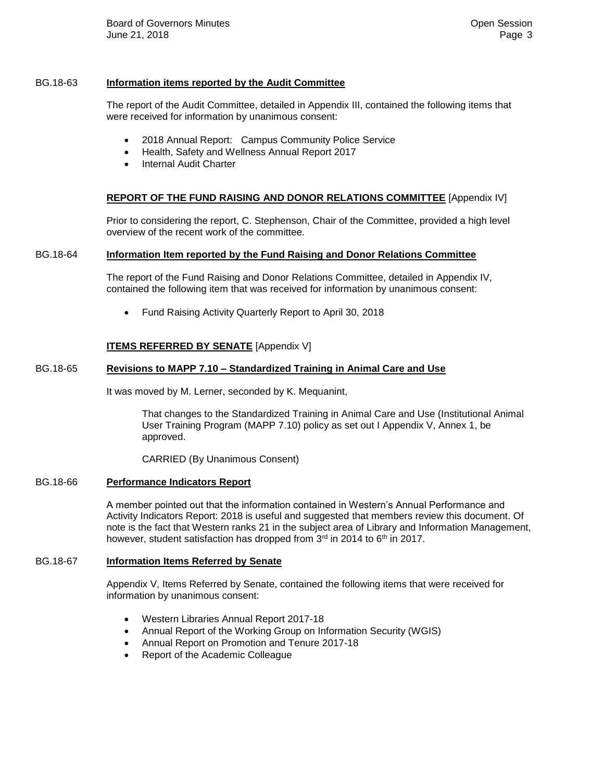Board of Governors Minutes **Contract Contract Contract Contract Contract Contract Contract Contract Contract Contract Contract Contract Contract Contract Contract Contract Contract Contract Contract Contract Contract Contr** June 21, 2018 Page 3

#### BG.18-63 **Information items reported by the Audit Committee**

The report of the Audit Committee, detailed in Appendix III, contained the following items that were received for information by unanimous consent:

- 2018 Annual Report: Campus Community Police Service
- Health, Safety and Wellness Annual Report 2017
- Internal Audit Charter

#### **REPORT OF THE FUND RAISING AND DONOR RELATIONS COMMITTEE** [Appendix IV]

Prior to considering the report, C. Stephenson, Chair of the Committee, provided a high level overview of the recent work of the committee.

#### BG.18-64 **Information Item reported by the Fund Raising and Donor Relations Committee**

The report of the Fund Raising and Donor Relations Committee, detailed in Appendix IV, contained the following item that was received for information by unanimous consent:

• Fund Raising Activity Quarterly Report to April 30, 2018

### **ITEMS REFERRED BY SENATE** [Appendix V]

### BG.18-65 **Revisions to MAPP 7.10 – Standardized Training in Animal Care and Use**

It was moved by M. Lerner, seconded by K. Mequanint,

That changes to the Standardized Training in Animal Care and Use (Institutional Animal User Training Program (MAPP 7.10) policy as set out I Appendix V, Annex 1, be approved.

CARRIED (By Unanimous Consent)

#### BG.18-66 **Performance Indicators Report**

A member pointed out that the information contained in Western's Annual Performance and Activity Indicators Report: 2018 is useful and suggested that members review this document. Of note is the fact that Western ranks 21 in the subject area of Library and Information Management, however, student satisfaction has dropped from  $3<sup>rd</sup>$  in 2014 to 6<sup>th</sup> in 2017.

#### BG.18-67 **Information Items Referred by Senate**

Appendix V, Items Referred by Senate, contained the following items that were received for information by unanimous consent:

- Western Libraries Annual Report 2017-18
- Annual Report of the Working Group on Information Security (WGIS)
- Annual Report on Promotion and Tenure 2017-18
- Report of the Academic Colleague